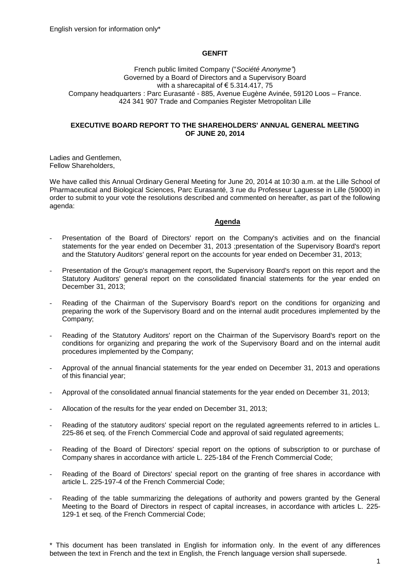# **GENFIT**

French public limited Company ("*Société Anonyme"*) Governed by a Board of Directors and a Supervisory Board with a sharecapital of  $\epsilon$  5.314.417, 75 Company headquarters : Parc Eurasanté - 885, Avenue Eugène Avinée, 59120 Loos – France. 424 341 907 Trade and Companies Register Metropolitan Lille

### **EXECUTIVE BOARD REPORT TO THE SHAREHOLDERS' ANNUAL GENERAL MEETING OF JUNE 20, 2014**

Ladies and Gentlemen, Fellow Shareholders,

We have called this Annual Ordinary General Meeting for June 20, 2014 at 10:30 a.m. at the Lille School of Pharmaceutical and Biological Sciences, Parc Eurasanté, 3 rue du Professeur Laguesse in Lille (59000) in order to submit to your vote the resolutions described and commented on hereafter, as part of the following agenda:

#### **Agenda**

- Presentation of the Board of Directors' report on the Company's activities and on the financial statements for the year ended on December 31, 2013 ;presentation of the Supervisory Board's report and the Statutory Auditors' general report on the accounts for year ended on December 31, 2013;
- Presentation of the Group's management report, the Supervisory Board's report on this report and the Statutory Auditors' general report on the consolidated financial statements for the year ended on December 31, 2013;
- Reading of the Chairman of the Supervisory Board's report on the conditions for organizing and preparing the work of the Supervisory Board and on the internal audit procedures implemented by the Company;
- Reading of the Statutory Auditors' report on the Chairman of the Supervisory Board's report on the conditions for organizing and preparing the work of the Supervisory Board and on the internal audit procedures implemented by the Company;
- Approval of the annual financial statements for the year ended on December 31, 2013 and operations of this financial year;
- Approval of the consolidated annual financial statements for the year ended on December 31, 2013;
- Allocation of the results for the year ended on December 31, 2013;
- Reading of the statutory auditors' special report on the regulated agreements referred to in articles L. 225-86 et seq. of the French Commercial Code and approval of said regulated agreements;
- Reading of the Board of Directors' special report on the options of subscription to or purchase of Company shares in accordance with article L. 225-184 of the French Commercial Code;
- Reading of the Board of Directors' special report on the granting of free shares in accordance with article L. 225-197-4 of the French Commercial Code;
- Reading of the table summarizing the delegations of authority and powers granted by the General Meeting to the Board of Directors in respect of capital increases, in accordance with articles L. 225- 129-1 et seq. of the French Commercial Code;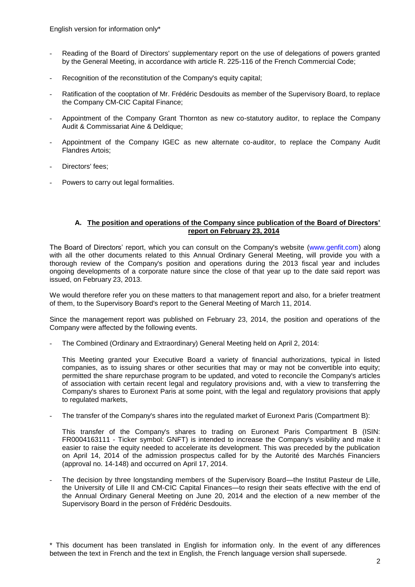English version for information only\*

- Reading of the Board of Directors' supplementary report on the use of delegations of powers granted by the General Meeting, in accordance with article R. 225-116 of the French Commercial Code;
- Recognition of the reconstitution of the Company's equity capital;
- Ratification of the cooptation of Mr. Frédéric Desdouits as member of the Supervisory Board, to replace the Company CM-CIC Capital Finance;
- Appointment of the Company Grant Thornton as new co-statutory auditor, to replace the Company Audit & Commissariat Aine & Deldique;
- Appointment of the Company IGEC as new alternate co-auditor, to replace the Company Audit Flandres Artois;
- Directors' fees:
- Powers to carry out legal formalities.

## **A. The position and operations of the Company since publication of the Board of Directors' report on February 23, 2014**

The Board of Directors' report, which you can consult on the Company's website [\(www.genfit.com\)](http://www.genfit.com/) along with all the other documents related to this Annual Ordinary General Meeting, will provide you with a thorough review of the Company's position and operations during the 2013 fiscal year and includes ongoing developments of a corporate nature since the close of that year up to the date said report was issued, on February 23, 2013.

We would therefore refer you on these matters to that management report and also, for a briefer treatment of them, to the Supervisory Board's report to the General Meeting of March 11, 2014.

Since the management report was published on February 23, 2014, the position and operations of the Company were affected by the following events.

The Combined (Ordinary and Extraordinary) General Meeting held on April 2, 2014:

This Meeting granted your Executive Board a variety of financial authorizations, typical in listed companies, as to issuing shares or other securities that may or may not be convertible into equity; permitted the share repurchase program to be updated, and voted to reconcile the Company's articles of association with certain recent legal and regulatory provisions and, with a view to transferring the Company's shares to Euronext Paris at some point, with the legal and regulatory provisions that apply to regulated markets,

The transfer of the Company's shares into the regulated market of Euronext Paris (Compartment B):

This transfer of the Company's shares to trading on Euronext Paris Compartment B (ISIN: FR0004163111 - Ticker symbol: GNFT) is intended to increase the Company's visibility and make it easier to raise the equity needed to accelerate its development. This was preceded by the publication on April 14, 2014 of the admission prospectus called for by the Autorité des Marchés Financiers (approval no. 14-148) and occurred on April 17, 2014.

The decision by three longstanding members of the Supervisory Board—the Institut Pasteur de Lille, the University of Lille II and CM-CIC Capital Finances—to resign their seats effective with the end of the Annual Ordinary General Meeting on June 20, 2014 and the election of a new member of the Supervisory Board in the person of Frédéric Desdouits.

<sup>\*</sup> This document has been translated in English for information only. In the event of any differences between the text in French and the text in English, the French language version shall supersede.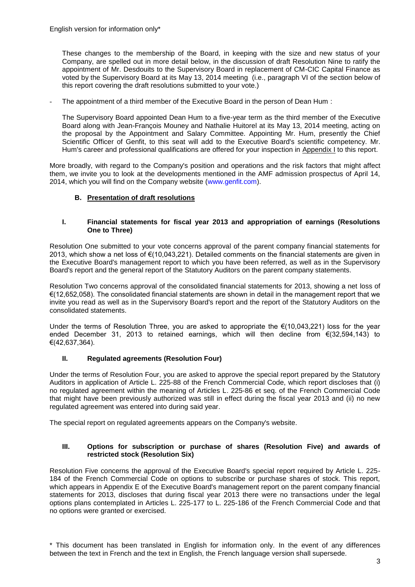These changes to the membership of the Board, in keeping with the size and new status of your Company, are spelled out in more detail below, in the discussion of draft Resolution Nine to ratify the appointment of Mr. Desdouits to the Supervisory Board in replacement of CM-CIC Capital Finance as voted by the Supervisory Board at its May 13, 2014 meeting (i.e., paragraph VI of the section below of this report covering the draft resolutions submitted to your vote.)

The appointment of a third member of the Executive Board in the person of Dean Hum :

The Supervisory Board appointed Dean Hum to a five-year term as the third member of the Executive Board along with Jean-François Mouney and Nathalie Huitorel at its May 13, 2014 meeting, acting on the proposal by the Appointment and Salary Committee. Appointing Mr. Hum, presently the Chief Scientific Officer of Genfit, to this seat will add to the Executive Board's scientific competency. Mr. Hum's career and professional qualifications are offered for your inspection in Appendix I to this report.

More broadly, with regard to the Company's position and operations and the risk factors that might affect them, we invite you to look at the developments mentioned in the AMF admission prospectus of April 14, 2014, which you will find on the Company website [\(www.genfit.com\)](http://www.genfit.com/).

# **B. Presentation of draft resolutions**

## **I. Financial statements for fiscal year 2013 and appropriation of earnings (Resolutions One to Three)**

Resolution One submitted to your vote concerns approval of the parent company financial statements for 2013, which show a net loss of €(10,043,221). Detailed comments on the financial statements are given in the Executive Board's management report to which you have been referred, as well as in the Supervisory Board's report and the general report of the Statutory Auditors on the parent company statements.

Resolution Two concerns approval of the consolidated financial statements for 2013, showing a net loss of €(12,652,058). The consolidated financial statements are shown in detail in the management report that we invite you read as well as in the Supervisory Board's report and the report of the Statutory Auditors on the consolidated statements.

Under the terms of Resolution Three, you are asked to appropriate the €(10,043,221) loss for the year ended December 31, 2013 to retained earnings, which will then decline from €(32,594,143) to €(42,637,364).

# **II. Regulated agreements (Resolution Four)**

Under the terms of Resolution Four, you are asked to approve the special report prepared by the Statutory Auditors in application of Article L. 225-88 of the French Commercial Code, which report discloses that (i) no regulated agreement within the meaning of Articles L. 225-86 et seq. of the French Commercial Code that might have been previously authorized was still in effect during the fiscal year 2013 and (ii) no new regulated agreement was entered into during said year.

The special report on regulated agreements appears on the Company's website.

## **III. Options for subscription or purchase of shares (Resolution Five) and awards of restricted stock (Resolution Six)**

Resolution Five concerns the approval of the Executive Board's special report required by Article L. 225- 184 of the French Commercial Code on options to subscribe or purchase shares of stock. This report, which appears in Appendix E of the Executive Board's management report on the parent company financial statements for 2013, discloses that during fiscal year 2013 there were no transactions under the legal options plans contemplated in Articles L. 225-177 to L. 225-186 of the French Commercial Code and that no options were granted or exercised.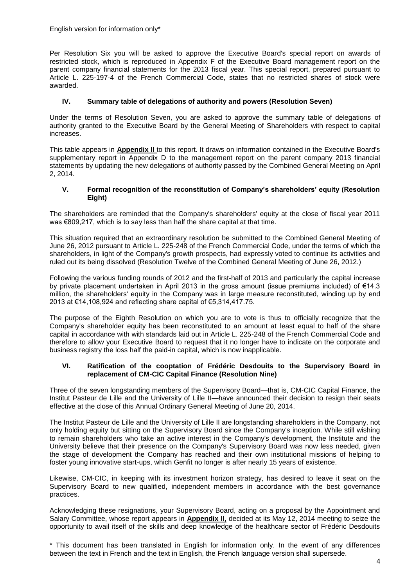English version for information only\*

Per Resolution Six you will be asked to approve the Executive Board's special report on awards of restricted stock, which is reproduced in Appendix F of the Executive Board management report on the parent company financial statements for the 2013 fiscal year. This special report, prepared pursuant to Article L. 225-197-4 of the French Commercial Code, states that no restricted shares of stock were awarded.

# **IV. Summary table of delegations of authority and powers (Resolution Seven)**

Under the terms of Resolution Seven, you are asked to approve the summary table of delegations of authority granted to the Executive Board by the General Meeting of Shareholders with respect to capital increases.

This table appears in **Appendix II** to this report. It draws on information contained in the Executive Board's supplementary report in Appendix D to the management report on the parent company 2013 financial statements by updating the new delegations of authority passed by the Combined General Meeting on April 2, 2014.

## **V. Formal recognition of the reconstitution of Company's shareholders' equity (Resolution Eight)**

The shareholders are reminded that the Company's shareholders' equity at the close of fiscal year 2011 was €809,217, which is to say less than half the share capital at that time.

This situation required that an extraordinary resolution be submitted to the Combined General Meeting of June 26, 2012 pursuant to Article L. 225-248 of the French Commercial Code, under the terms of which the shareholders, in light of the Company's growth prospects, had expressly voted to continue its activities and ruled out its being dissolved (Resolution Twelve of the Combined General Meeting of June 26, 2012.)

Following the various funding rounds of 2012 and the first-half of 2013 and particularly the capital increase by private placement undertaken in April 2013 in the gross amount (issue premiums included) of €14.3 million, the shareholders' equity in the Company was in large measure reconstituted, winding up by end 2013 at €14,108,924 and reflecting share capital of €5,314,417.75.

The purpose of the Eighth Resolution on which you are to vote is thus to officially recognize that the Company's shareholder equity has been reconstituted to an amount at least equal to half of the share capital in accordance with with standards laid out in Article L. 225-248 of the French Commercial Code and therefore to allow your Executive Board to request that it no longer have to indicate on the corporate and business registry the loss half the paid-in capital, which is now inapplicable.

## **VI. Ratification of the cooptation of Frédéric Desdouits to the Supervisory Board in replacement of CM-CIC Capital Finance (Resolution Nine)**

Three of the seven longstanding members of the Supervisory Board—that is, CM-CIC Capital Finance, the Institut Pasteur de Lille and the University of Lille II—have announced their decision to resign their seats effective at the close of this Annual Ordinary General Meeting of June 20, 2014.

The Institut Pasteur de Lille and the University of Lille II are longstanding shareholders in the Company, not only holding equity but sitting on the Supervisory Board since the Company's inception. While still wishing to remain shareholders who take an active interest in the Company's development, the Institute and the University believe that their presence on the Company's Supervisory Board was now less needed, given the stage of development the Company has reached and their own institutional missions of helping to foster young innovative start-ups, which Genfit no longer is after nearly 15 years of existence.

Likewise, CM-CIC, in keeping with its investment horizon strategy, has desired to leave it seat on the Supervisory Board to new qualified, independent members in accordance with the best governance practices.

Acknowledging these resignations, your Supervisory Board, acting on a proposal by the Appointment and Salary Committee, whose report appears in **Appendix II,** decided at its May 12, 2014 meeting to seize the opportunity to avail itself of the skills and deep knowledge of the healthcare sector of Frédéric Desdouits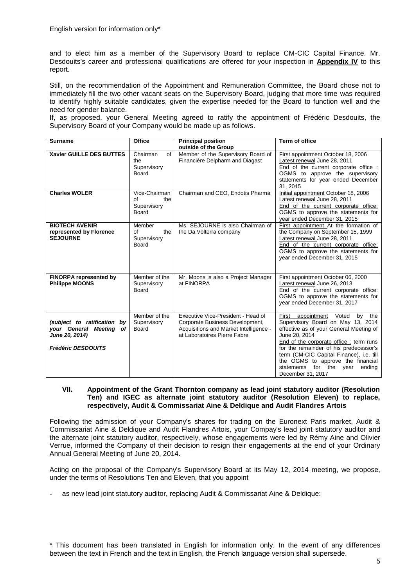and to elect him as a member of the Supervisory Board to replace CM-CIC Capital Finance. Mr. Desdouits's career and professional qualifications are offered for your inspection in **Appendix IV** to this report.

Still, on the recommendation of the Appointment and Remuneration Committee, the Board chose not to immediately fill the two other vacant seats on the Supervisory Board, judging that more time was required to identify highly suitable candidates, given the expertise needed for the Board to function well and the need for gender balance.

If, as proposed, your General Meeting agreed to ratify the appointment of Frédéric Desdouits, the Supervisory Board of your Company would be made up as follows.

| <b>Surname</b>                | Office              | <b>Principal position</b>                                             | Term of office                                                             |
|-------------------------------|---------------------|-----------------------------------------------------------------------|----------------------------------------------------------------------------|
|                               | of                  | outside of the Group                                                  |                                                                            |
| Xavier GUILLE DES BUTTES      | Chairman<br>the     | Member of the Supervisory Board of<br>Financière Delpharm and Diagast | First appointment October 18, 2006<br>Latest renewal June 28, 2011         |
|                               | Supervisory         |                                                                       | End of the current corporate office:                                       |
|                               | Board               |                                                                       | OGMS to approve the supervisory                                            |
|                               |                     |                                                                       | statements for year ended December                                         |
|                               |                     |                                                                       | 31.2015                                                                    |
| <b>Charles WOLER</b>          | Vice-Chairman       | Chairman and CEO, Endotis Pharma                                      | Initial appointment October 18, 2006                                       |
|                               | the<br>Ωf           |                                                                       | Latest renewal June 28, 2011                                               |
|                               | Supervisory         |                                                                       | End of the current corporate office:                                       |
|                               | Board               |                                                                       | OGMS to approve the statements for                                         |
| <b>BIOTECH AVENIR</b>         |                     |                                                                       | year ended December 31, 2015                                               |
| represented by Florence       | Member<br>of<br>the | Ms. SEJOURNE is also Chairman of<br>the Da Volterra company           | First appointment At the formation of<br>the Company on September 15, 1999 |
| <b>SEJOURNE</b>               | Supervisory         |                                                                       | Latest renewal June 28, 2011                                               |
|                               | Board               |                                                                       | End of the current corporate office:                                       |
|                               |                     |                                                                       | OGMS to approve the statements for                                         |
|                               |                     |                                                                       | year ended December 31, 2015                                               |
|                               |                     |                                                                       |                                                                            |
|                               |                     |                                                                       |                                                                            |
| <b>FINORPA represented by</b> | Member of the       | Mr. Moons is also a Project Manager                                   | First appointment October 06, 2000                                         |
| <b>Philippe MOONS</b>         | Supervisory         | at FINORPA                                                            | Latest renewal June 26, 2013                                               |
|                               | Board               |                                                                       | End of the current corporate office:                                       |
|                               |                     |                                                                       | OGMS to approve the statements for<br>year ended December 31, 2017         |
|                               |                     |                                                                       |                                                                            |
|                               | Member of the       | Executive Vice-President - Head of                                    | appointment<br>Voted<br>First<br>by the                                    |
| (subject to ratification by   | Supervisory         | Corporate Business Development,                                       | Supervisory Board on May 13, 2014                                          |
| your General Meeting<br>of    | <b>Board</b>        | Acquisitions and Market Intelligence -                                | effective as of your General Meeting of                                    |
| June 20, 2014)                |                     | at Laboratoires Pierre Fabre                                          | June 20, 2014                                                              |
|                               |                     |                                                                       | End of the corporate office: term runs                                     |
| <b>Frédéric DESDOUITS</b>     |                     |                                                                       | for the remainder of his predecessor's                                     |
|                               |                     |                                                                       | term (CM-CIC Capital Finance), i.e. till                                   |
|                               |                     |                                                                       | the OGMS to approve the financial<br>for the<br>statements                 |
|                               |                     |                                                                       | vear<br>endina<br>December 31, 2017                                        |

#### **VII. Appointment of the Grant Thornton company as lead joint statutory auditor (Resolution Ten) and IGEC as alternate joint statutory auditor (Resolution Eleven) to replace, respectively, Audit & Commissariat Aine & Deldique and Audit Flandres Artois**

Following the admission of your Company's shares for trading on the Euronext Paris market, Audit & Commissariat Aine & Deldique and Audit Flandres Artois, your Compay's lead joint statutory auditor and the alternate joint statutory auditor, respectively, whose engagements were led by Rémy Aine and Olivier Verrue, informed the Company of their decision to resign their engagements at the end of your Ordinary Annual General Meeting of June 20, 2014.

Acting on the proposal of the Company's Supervisory Board at its May 12, 2014 meeting, we propose, under the terms of Resolutions Ten and Eleven, that you appoint

as new lead joint statutory auditor, replacing Audit & Commissariat Aine & Deldique: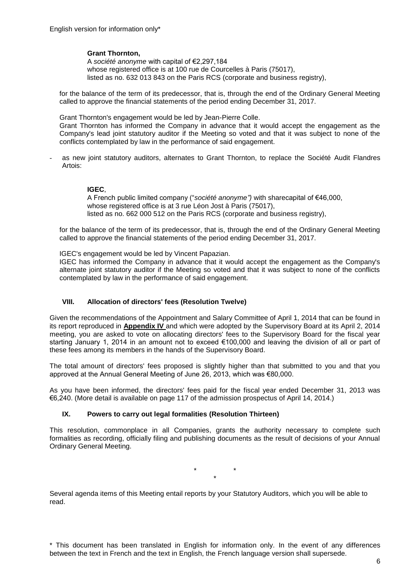# **Grant Thornton,**

A *société anonyme* with capital of €2,297,184 whose registered office is at 100 rue de Courcelles à Paris (75017), listed as no. 632 013 843 on the Paris RCS (corporate and business registry),

for the balance of the term of its predecessor, that is, through the end of the Ordinary General Meeting called to approve the financial statements of the period ending December 31, 2017.

Grant Thornton's engagement would be led by Jean-Pierre Colle.

Grant Thornton has informed the Company in advance that it would accept the engagement as the Company's lead joint statutory auditor if the Meeting so voted and that it was subject to none of the conflicts contemplated by law in the performance of said engagement.

as new joint statutory auditors, alternates to Grant Thornton, to replace the Société Audit Flandres Artois:

# **IGEC**,

A French public limited company ("*société anonyme")* with sharecapital of €46,000, whose registered office is at 3 rue Léon Jost à Paris (75017). listed as no. 662 000 512 on the Paris RCS (corporate and business registry),

for the balance of the term of its predecessor, that is, through the end of the Ordinary General Meeting called to approve the financial statements of the period ending December 31, 2017.

IGEC's engagement would be led by Vincent Papazian.

IGEC has informed the Company in advance that it would accept the engagement as the Company's alternate joint statutory auditor if the Meeting so voted and that it was subject to none of the conflicts contemplated by law in the performance of said engagement.

# **VIII. Allocation of directors' fees (Resolution Twelve)**

Given the recommendations of the Appointment and Salary Committee of April 1, 2014 that can be found in its report reproduced in **Appendix IV** and which were adopted by the Supervisory Board at its April 2, 2014 meeting, you are asked to vote on allocating directors' fees to the Supervisory Board for the fiscal year starting January 1, 2014 in an amount not to exceed €100,000 and leaving the division of all or part of these fees among its members in the hands of the Supervisory Board.

The total amount of directors' fees proposed is slightly higher than that submitted to you and that you approved at the Annual General Meeting of June 26, 2013, which was €80,000.

As you have been informed, the directors' fees paid for the fiscal year ended December 31, 2013 was €6,240. (More detail is available on page 117 of the admission prospectus of April 14, 2014.)

# **IX. Powers to carry out legal formalities (Resolution Thirteen)**

This resolution, commonplace in all Companies, grants the authority necessary to complete such formalities as recording, officially filing and publishing documents as the result of decisions of your Annual Ordinary General Meeting.

> \* \* \*

Several agenda items of this Meeting entail reports by your Statutory Auditors, which you will be able to read.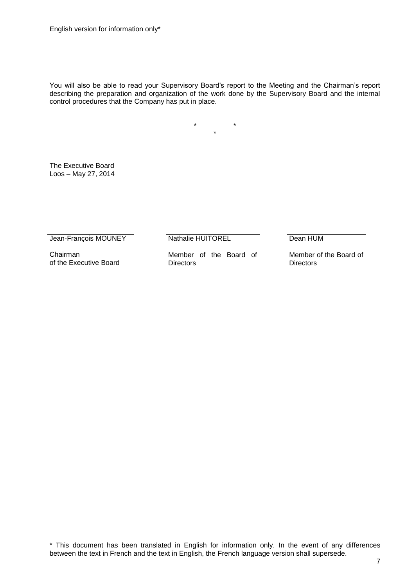You will also be able to read your Supervisory Board's report to the Meeting and the Chairman's report describing the preparation and organization of the work done by the Supervisory Board and the internal control procedures that the Company has put in place.

> \* \* \*

The Executive Board Loos – May 27, 2014

Jean-François MOUNEY

Nathalie HUITOREL

Chairman of the Executive Board Member of the Board of **Directors** 

Dean HUM

Member of the Board of **Directors**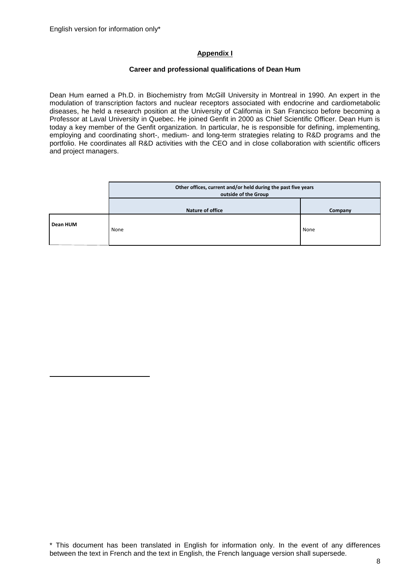# **Appendix I**

## **Career and professional qualifications of Dean Hum**

Dean Hum earned a Ph.D. in Biochemistry from McGill University in Montreal in 1990. An expert in the modulation of transcription factors and nuclear receptors associated with endocrine and cardiometabolic diseases, he held a research position at the University of California in San Francisco before becoming a Professor at Laval University in Quebec. He joined Genfit in 2000 as Chief Scientific Officer. Dean Hum is today a key member of the Genfit organization. In particular, he is responsible for defining, implementing, employing and coordinating short-, medium- and long-term strategies relating to R&D programs and the portfolio. He coordinates all R&D activities with the CEO and in close collaboration with scientific officers and project managers.

|          | Other offices, current and/or held during the past five years<br>outside of the Group |      |  |
|----------|---------------------------------------------------------------------------------------|------|--|
|          | <b>Nature of office</b><br>Company                                                    |      |  |
| Dean HUM | None                                                                                  | None |  |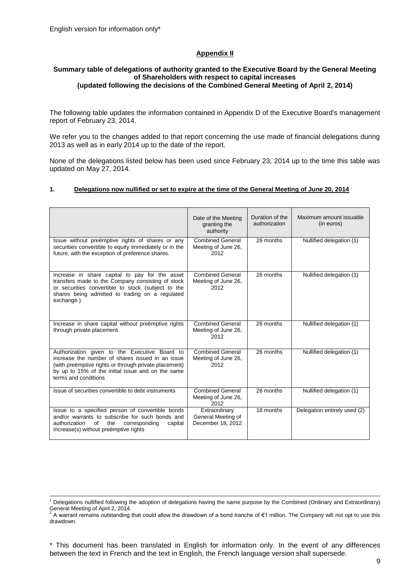1

# **Appendix II**

### **Summary table of delegations of authority granted to the Executive Board by the General Meeting of Shareholders with respect to capital increases (updated following the decisions of the Combined General Meeting of April 2, 2014)**

The following table updates the information contained in Appendix D of the Executive Board's management report of February 23, 2014.

We refer you to the changes added to that report concerning the use made of financial delegations during 2013 as well as in early 2014 up to the date of the report.

None of the delegations listed below has been used since February 23, 2014 up to the time this table was updated on May 27, 2014.

#### **1. Delegations now nullified or set to expire at the time of the General Meeting of June 20, 2014**

|                                                                                                                                                                                                                                         | Date of the Meeting<br>granting the<br>authority         | Duration of the<br>authorization | Maximum amount issuable<br>(in euros) |
|-----------------------------------------------------------------------------------------------------------------------------------------------------------------------------------------------------------------------------------------|----------------------------------------------------------|----------------------------------|---------------------------------------|
| Issue without preëmptive rights of shares or any<br>securities convertible to equity immediately or in the<br>future, with the exception of preference shares.                                                                          | <b>Combined General</b><br>Meeting of June 26,<br>2012   | 26 months                        | Nullified delegation (1)              |
| Increase in share capital to pay for the asset<br>transfers made to the Company consisting of stock<br>or securities convertible to stock (subject to the<br>shares being admitted to trading on a regulated<br>exchange.)              | <b>Combined General</b><br>Meeting of June 26,<br>2012   | 26 months                        | Nullified delegation (1)              |
| Increase in share capital without preëmptive rights<br>through private placement                                                                                                                                                        | Combined General<br>Meeting of June 26,<br>2012          | 26 months                        | Nullified delegation (1)              |
| Authorization given to the Executive Board to<br>increase the number of shares issued in an issue<br>(with preemptive rights or through private placement)<br>by up to 15% of the initial issue and on the same<br>terms and conditions | Combined General<br>Meeting of June 26,<br>2012          | 26 months                        | Nullified delegation (1)              |
| Issue of securities convertible to debt instruments                                                                                                                                                                                     | <b>Combined General</b><br>Meeting of June 26,<br>2012   | 26 months                        | Nullified delegation (1)              |
| Issue to a specified person of convertible bonds<br>and/or warrants to subscribe for such bonds and<br>of<br>the<br>corresponding<br>authorization<br>capital<br>increase(s) without preemptive rights                                  | Extraordinary<br>General Meeting of<br>December 18, 2012 | 18 months                        | Delegation entirely used (2)          |

 $1$  Delegations nullified following the adoption of delegations having the same purpose by the Combined (Ordinary and Extraordinary) General Meeting of April 2, 2014.

<sup>&</sup>lt;sup>2</sup> A warrant remains outstanding that could allow the drawdown of a bond tranche of €1 million. The Company will not opt to use this drawdown.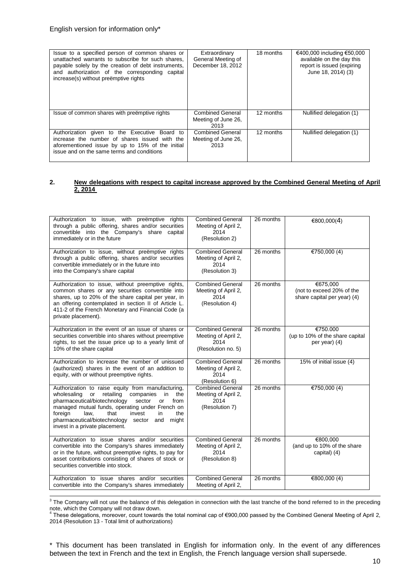| Issue to a specified person of common shares or<br>unattached warrants to subscribe for such shares.<br>payable solely by the creation of debt instruments,<br>and authorization of the corresponding capital<br>increase(s) without preemptive rights | Extraordinary<br>General Meeting of<br>December 18, 2012 | 18 months | €400,000 including €50,000<br>available on the day this<br>report is issued (expiring<br>June 18, 2014) (3) |
|--------------------------------------------------------------------------------------------------------------------------------------------------------------------------------------------------------------------------------------------------------|----------------------------------------------------------|-----------|-------------------------------------------------------------------------------------------------------------|
| Issue of common shares with preemptive rights                                                                                                                                                                                                          | <b>Combined General</b><br>Meeting of June 26,<br>2013   | 12 months | Nullified delegation (1)                                                                                    |
| Authorization given to the Executive Board to<br>increase the number of shares issued with the<br>aforementioned issue by up to 15% of the initial<br>issue and on the same terms and conditions                                                       | <b>Combined General</b><br>Meeting of June 26,<br>2013   | 12 months | Nullified delegation (1)                                                                                    |

#### **2. New delegations with respect to capital increase approved by the Combined General Meeting of April 2, 2014**

| Authorization to issue, with preemptive rights<br>through a public offering, shares and/or securities<br>convertible into the Company's share capital<br>immediately or in the future                                                                                                                                                                                  | <b>Combined General</b><br>Meeting of April 2,<br>2014<br>(Resolution 2)     | 26 months | €800,000(4)                                                          |
|------------------------------------------------------------------------------------------------------------------------------------------------------------------------------------------------------------------------------------------------------------------------------------------------------------------------------------------------------------------------|------------------------------------------------------------------------------|-----------|----------------------------------------------------------------------|
| Authorization to issue, without preëmptive rights<br>through a public offering, shares and/or securities<br>convertible immediately or in the future into<br>into the Company's share capital                                                                                                                                                                          | <b>Combined General</b><br>Meeting of April 2,<br>2014<br>(Resolution 3)     | 26 months | €750,000 (4)                                                         |
| Authorization to issue, without preemptive rights,<br>common shares or any securities convertible into<br>shares, up to 20% of the share capital per year, in<br>an offering contemplated in section II of Article L.<br>411-2 of the French Monetary and Financial Code (a<br>private placement).                                                                     | <b>Combined General</b><br>Meeting of April 2,<br>2014<br>(Resolution 4)     | 26 months | €675,000<br>(not to exceed 20% of the<br>share capital per year) (4) |
| Authorization in the event of an issue of shares or<br>securities convertible into shares without preemptive<br>rights, to set the issue price up to a yearly limit of<br>10% of the share capital                                                                                                                                                                     | <b>Combined General</b><br>Meeting of April 2,<br>2014<br>(Resolution no. 5) | 26 months | €750.000<br>(up to 10% of the share capital<br>per year) (4)         |
| Authorization to increase the number of unissued<br>(authorized) shares in the event of an addition to<br>equity, with or without preemptive rights.                                                                                                                                                                                                                   | <b>Combined General</b><br>Meeting of April 2,<br>2014<br>(Resolution 6)     | 26 months | 15% of initial issue (4)                                             |
| Authorization to raise equity from manufacturing,<br>retailing<br>wholesaling<br>in<br>the<br>or<br>companies<br>pharmaceutical/biotechnology<br>sector<br>from<br>or<br>managed mutual funds, operating under French on<br>foreign<br>the<br>law,<br>that<br>invest<br>in<br>pharmaceutical/biotechnology<br>sector<br>might<br>and<br>invest in a private placement. | <b>Combined General</b><br>Meeting of April 2,<br>2014<br>(Resolution 7)     | 26 months | €750,000 (4)                                                         |
| Authorization to issue shares and/or securities<br>convertible into the Company's shares immediately<br>or in the future, without preemptive rights, to pay for<br>asset contributions consisting of shares of stock or<br>securities convertible into stock.                                                                                                          | <b>Combined General</b><br>Meeting of April 2,<br>2014<br>(Resolution 8)     | 26 months | €800,000<br>(and up to 10% of the share<br>capital) (4)              |
| Authorization to issue shares and/or securities<br>convertible into the Company's shares immediately                                                                                                                                                                                                                                                                   | <b>Combined General</b><br>Meeting of April 2,                               | 26 months | €800,000 $(4)$                                                       |

3 The Company will not use the balance of this delegation in connection with the last tranche of the bond referred to in the preceding

note, which the Company will not draw down.<br><sup>4</sup> These delegations, moreover, count towards the total nominal cap of €900,000 passed by the Combined General Meeting of April 2, 2014 (Resolution 13 - Total limit of authorizations)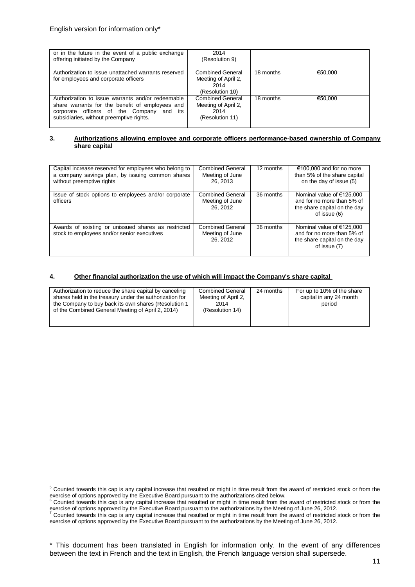1

| or in the future in the event of a public exchange<br>offering initiated by the Company                                                                                                          | 2014<br>(Resolution 9)                                                    |           |         |
|--------------------------------------------------------------------------------------------------------------------------------------------------------------------------------------------------|---------------------------------------------------------------------------|-----------|---------|
| Authorization to issue unattached warrants reserved<br>for employees and corporate officers                                                                                                      | <b>Combined General</b><br>Meeting of April 2,<br>2014<br>(Resolution 10) | 18 months | €50.000 |
| Authorization to issue warrants and/or redeemable<br>share warrants for the benefit of employees and<br>corporate officers of the Company<br>and its<br>subsidiaries, without preemptive rights. | <b>Combined General</b><br>Meeting of April 2,<br>2014<br>(Resolution 11) | 18 months | €50,000 |

#### **3. Authorizations allowing employee and corporate officers performance-based ownership of Company share capital**

| Capital increase reserved for employees who belong to<br>a company savings plan, by issuing common shares<br>without preemptive rights | <b>Combined General</b><br>Meeting of June<br>26, 2013 | 12 months | €100,000 and for no more<br>than 5% of the share capital<br>on the day of issue (5)                       |
|----------------------------------------------------------------------------------------------------------------------------------------|--------------------------------------------------------|-----------|-----------------------------------------------------------------------------------------------------------|
| Issue of stock options to employees and/or corporate<br>officers                                                                       | <b>Combined General</b><br>Meeting of June<br>26.2012  | 36 months | Nominal value of $€125,000$<br>and for no more than 5% of<br>the share capital on the day<br>of issue (6) |
| Awards of existing or unissued shares as restricted<br>stock to employees and/or senior executives                                     | <b>Combined General</b><br>Meeting of June<br>26, 2012 | 36 months | Nominal value of $€125,000$<br>and for no more than 5% of<br>the share capital on the day<br>of issue (7) |

## **4. Other financial authorization the use of which will impact the Company's share capital**

| Authorization to reduce the share capital by canceling<br><b>Combined General</b><br>shares held in the treasury under the authorization for<br>Meeting of April 2,<br>the Company to buy back its own shares (Resolution 1<br>2014<br>of the Combined General Meeting of April 2, 2014)<br>(Resolution 14) | 24 months<br>For up to 10% of the share<br>capital in any 24 month<br>period |
|-------------------------------------------------------------------------------------------------------------------------------------------------------------------------------------------------------------------------------------------------------------------------------------------------------------|------------------------------------------------------------------------------|

 $5$  Counted towards this cap is any capital increase that resulted or might in time result from the award of restricted stock or from the exercise of options approved by the Executive Board pursuant to the authorizations cited below.<br><sup>6</sup> Counted towards this cap is any capital increase that resulted or might in time result from the award of restricted stock

exercise of options approved by the Executive Board pursuant to the authorizations by the Meeting of June 26, 2012.<br><sup>7</sup> Counted towards this cap is any capital increase that resulted or might in time result from the award

exercise of options approved by the Executive Board pursuant to the authorizations by the Meeting of June 26, 2012.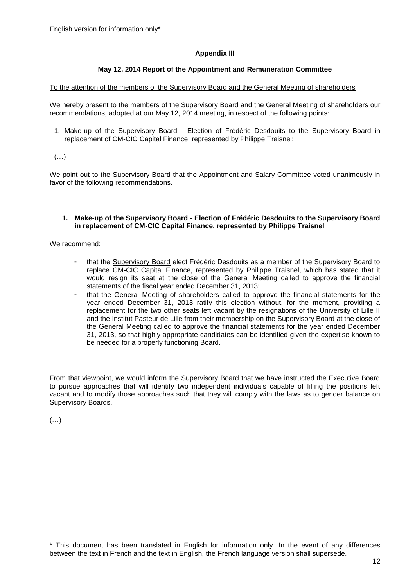# **Appendix III**

# **May 12, 2014 Report of the Appointment and Remuneration Committee**

## To the attention of the members of the Supervisory Board and the General Meeting of shareholders

We hereby present to the members of the Supervisory Board and the General Meeting of shareholders our recommendations, adopted at our May 12, 2014 meeting, in respect of the following points:

1. Make-up of the Supervisory Board - Election of Frédéric Desdouits to the Supervisory Board in replacement of CM-CIC Capital Finance, represented by Philippe Traisnel;

# $(\ldots)$

We point out to the Supervisory Board that the Appointment and Salary Committee voted unanimously in favor of the following recommendations.

#### **1. Make-up of the Supervisory Board - Election of Frédéric Desdouits to the Supervisory Board in replacement of CM-CIC Capital Finance, represented by Philippe Traisnel**

We recommend:

- that the Supervisory Board elect Frédéric Desdouits as a member of the Supervisory Board to replace CM-CIC Capital Finance, represented by Philippe Traisnel, which has stated that it would resign its seat at the close of the General Meeting called to approve the financial statements of the fiscal year ended December 31, 2013;
- that the General Meeting of shareholders called to approve the financial statements for the year ended December 31, 2013 ratify this election without, for the moment, providing a replacement for the two other seats left vacant by the resignations of the University of Lille II and the Institut Pasteur de Lille from their membership on the Supervisory Board at the close of the General Meeting called to approve the financial statements for the year ended December 31, 2013, so that highly appropriate candidates can be identified given the expertise known to be needed for a properly functioning Board.

From that viewpoint, we would inform the Supervisory Board that we have instructed the Executive Board to pursue approaches that will identify two independent individuals capable of filling the positions left vacant and to modify those approaches such that they will comply with the laws as to gender balance on Supervisory Boards.

(…)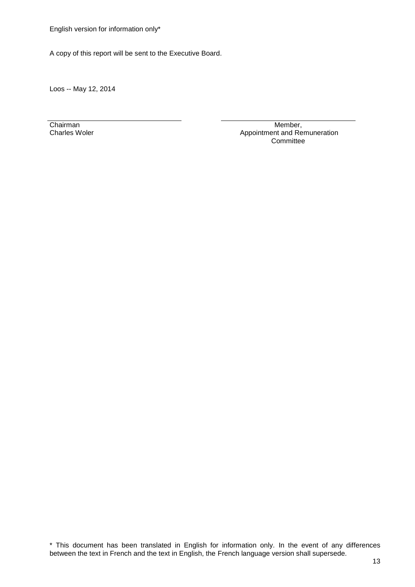English version for information only\*

A copy of this report will be sent to the Executive Board.

Loos -- May 12, 2014

Chairman Charles Woler

Member, Appointment and Remuneration Committee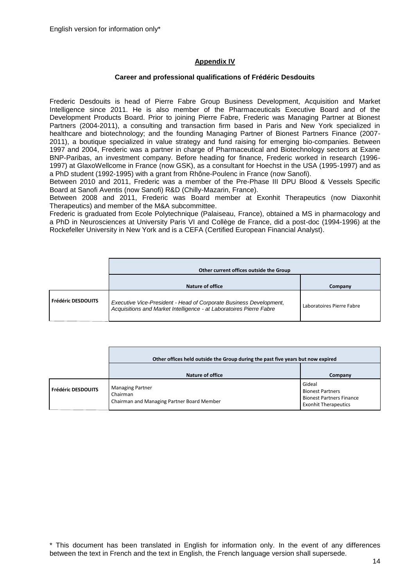# **Appendix IV**

## **Career and professional qualifications of Frédéric Desdouits**

Frederic Desdouits is head of Pierre Fabre Group Business Development, Acquisition and Market Intelligence since 2011. He is also member of the Pharmaceuticals Executive Board and of the Development Products Board. Prior to joining Pierre Fabre, Frederic was Managing Partner at Bionest Partners (2004-2011), a consulting and transaction firm based in Paris and New York specialized in healthcare and biotechnology; and the founding Managing Partner of Bionest Partners Finance (2007- 2011), a boutique specialized in value strategy and fund raising for emerging bio-companies. Between 1997 and 2004, Frederic was a partner in charge of Pharmaceutical and Biotechnology sectors at Exane BNP-Paribas, an investment company. Before heading for finance, Frederic worked in research (1996- 1997) at GlaxoWellcome in France (now GSK), as a consultant for Hoechst in the USA (1995-1997) and as a PhD student (1992-1995) with a grant from Rhône-Poulenc in France (now Sanofi).

Between 2010 and 2011, Frederic was a member of the Pre-Phase III DPU Blood & Vessels Specific Board at Sanofi Aventis (now Sanofi) R&D (Chilly-Mazarin, France).

Between 2008 and 2011, Frederic was Board member at Exonhit Therapeutics (now Diaxonhit Therapeutics) and member of the M&A subcommittee.

Frederic is graduated from Ecole Polytechnique (Palaiseau, France), obtained a MS in pharmacology and a PhD in Neurosciences at University Paris VI and Collège de France, did a post-doc (1994-1996) at the Rockefeller University in New York and is a CEFA (Certified European Financial Analyst).

|                           | Other current offices outside the Group                                                                                                   |                           |  |
|---------------------------|-------------------------------------------------------------------------------------------------------------------------------------------|---------------------------|--|
|                           | Nature of office                                                                                                                          | Company                   |  |
| <b>Frédéric DESDOUITS</b> | Executive Vice-President - Head of Corporate Business Development,<br>Acquisitions and Market Intelligence - at Laboratoires Pierre Fabre | Laboratoires Pierre Fabre |  |

|                    | Other offices held outside the Group during the past five years but now expired   |                                                                                                     |  |
|--------------------|-----------------------------------------------------------------------------------|-----------------------------------------------------------------------------------------------------|--|
|                    | Nature of office                                                                  | Company                                                                                             |  |
| Frédéric DESDOUITS | <b>Managing Partner</b><br>Chairman<br>Chairman and Managing Partner Board Member | Gideal<br><b>Bionest Partners</b><br><b>Bionest Partners Finance</b><br><b>Exonhit Therapeutics</b> |  |